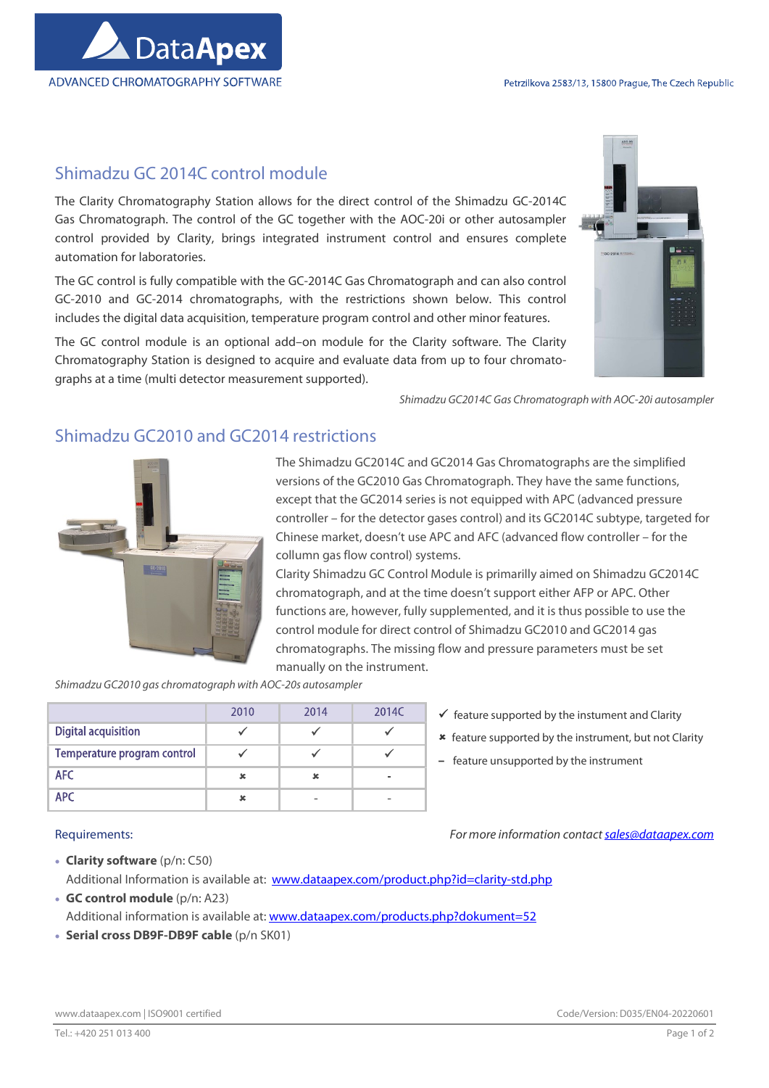

## Shimadzu GC 2014C control module

The Clarity Chromatography Station allows for the direct control of the Shimadzu GC-2014C Gas Chromatograph. The control of the GC together with the AOC-20i or other autosampler control provided by Clarity, brings integrated instrument control and ensures complete automation for laboratories.

The GC control is fully compatible with the GC-2014C Gas Chromatograph and can also control GC-2010 and GC-2014 chromatographs, with the restrictions shown below. This control includes the digital data acquisition, temperature program control and other minor features.

The GC control module is an optional add–on module for the Clarity software. The Clarity Chromatography Station is designed to acquire and evaluate data from up to four chromatographs at a time (multi detector measurement supported).



Shimadzu GC2014C Gas Chromatograph with AOC-20i autosampler

## Shimadzu GC2010 and GC2014 restrictions



The Shimadzu GC2014C and GC2014 Gas Chromatographs are the simplified versions of the GC2010 Gas Chromatograph. They have the same functions, except that the GC2014 series is not equipped with APC (advanced pressure controller – for the detector gases control) and its GC2014C subtype, targeted for Chinese market, doesn't use APC and AFC (advanced flow controller – for the collumn gas flow control) systems.

Clarity Shimadzu GC Control Module is primarilly aimed on Shimadzu GC2014C chromatograph, and at the time doesn't support either AFP or APC. Other functions are, however, fully supplemented, and it is thus possible to use the control module for direct control of Shimadzu GC2010 and GC2014 gas chromatographs. The missing flow and pressure parameters must be set manually on the instrument.

Shimadzu GC2010 gas chromatograph with AOC-20s autosampler

|                             | 2010 | 2014 | 2014C |
|-----------------------------|------|------|-------|
| <b>Digital acquisition</b>  |      |      |       |
| Temperature program control |      |      |       |
| <b>AFC</b>                  |      |      |       |
| <b>APC</b>                  |      |      | -     |

- $\checkmark$  feature supported by the instument and Clarity
- \* feature supported by the instrument, but not Clarity
- feature unsupported by the instrument

Requirements: The material states of the more information contact sales@dataapex.com

- 
- Clarity software (p/n: C50) Additional Information is available at: www.dataapex.com/product.php?id=clarity-std.php GC control module (p/n: A23)
- Additional information is available at: www.dataapex.com/products.php?dokument=52
- Serial cross DB9F-DB9F cable (p/n SK01)